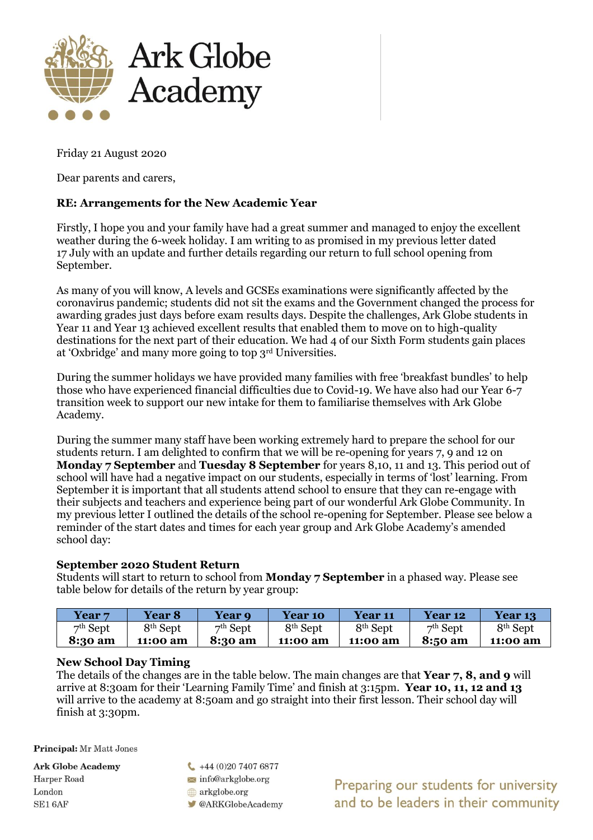

Friday 21 August 2020

Dear parents and carers,

## **RE: Arrangements for the New Academic Year**

Firstly, I hope you and your family have had a great summer and managed to enjoy the excellent weather during the 6-week holiday. I am writing to as promised in my previous letter dated 17 July with an update and further details regarding our return to full school opening from September.

As many of you will know, A levels and GCSEs examinations were significantly affected by the coronavirus pandemic; students did not sit the exams and the Government changed the process for awarding grades just days before exam results days. Despite the challenges, Ark Globe students in Year 11 and Year 13 achieved excellent results that enabled them to move on to high-quality destinations for the next part of their education. We had 4 of our Sixth Form students gain places at 'Oxbridge' and many more going to top 3rd Universities.

During the summer holidays we have provided many families with free 'breakfast bundles' to help those who have experienced financial difficulties due to Covid-19. We have also had our Year 6-7 transition week to support our new intake for them to familiarise themselves with Ark Globe Academy.

During the summer many staff have been working extremely hard to prepare the school for our students return. I am delighted to confirm that we will be re-opening for years 7, 9 and 12 on **Monday 7 September** and **Tuesday 8 September** for years 8,10, 11 and 13. This period out of school will have had a negative impact on our students, especially in terms of 'lost' learning. From September it is important that all students attend school to ensure that they can re-engage with their subjects and teachers and experience being part of our wonderful Ark Globe Community. In my previous letter I outlined the details of the school re-opening for September. Please see below a reminder of the start dates and times for each year group and Ark Globe Academy's amended school day:

## **September 2020 Student Return**

Students will start to return to school from **Monday 7 September** in a phased way. Please see table below for details of the return by year group:

| <b>Year 7</b> | Year 8               | <b>Year 9</b> | <b>Year 10</b>       | <b>Year 11</b>       | Year 12    | <b>Year 13</b>       |
|---------------|----------------------|---------------|----------------------|----------------------|------------|----------------------|
| $7th$ Sept    | 8 <sup>th</sup> Sept | $7th$ Sept    | 8 <sup>th</sup> Sept | 8 <sup>th</sup> Sept | $7th$ Sept | 8 <sup>th</sup> Sept |
| 8:30 am       | 11:00 am             | 8:30 am       | 11:00 am             | 11:00 am             | 8:50 am    | 11:00 am             |

## **New School Day Timing**

The details of the changes are in the table below. The main changes are that **Year 7, 8, and 9** will arrive at 8:30am for their 'Learning Family Time' and finish at 3:15pm. **Year 10, 11, 12 and 13** will arrive to the academy at 8:50am and go straight into their first lesson. Their school day will finish at 3:30pm.

Principal: Mr Matt Jones

**Ark Globe Academy** Harper Road London SE1 6AF

 $-$  +44 (0)20 7407 6877

 $\blacktriangleright$  info@arkglobe.org

arkglobe.org

**CARKGlobeAcademy** 

Preparing our students for university and to be leaders in their community